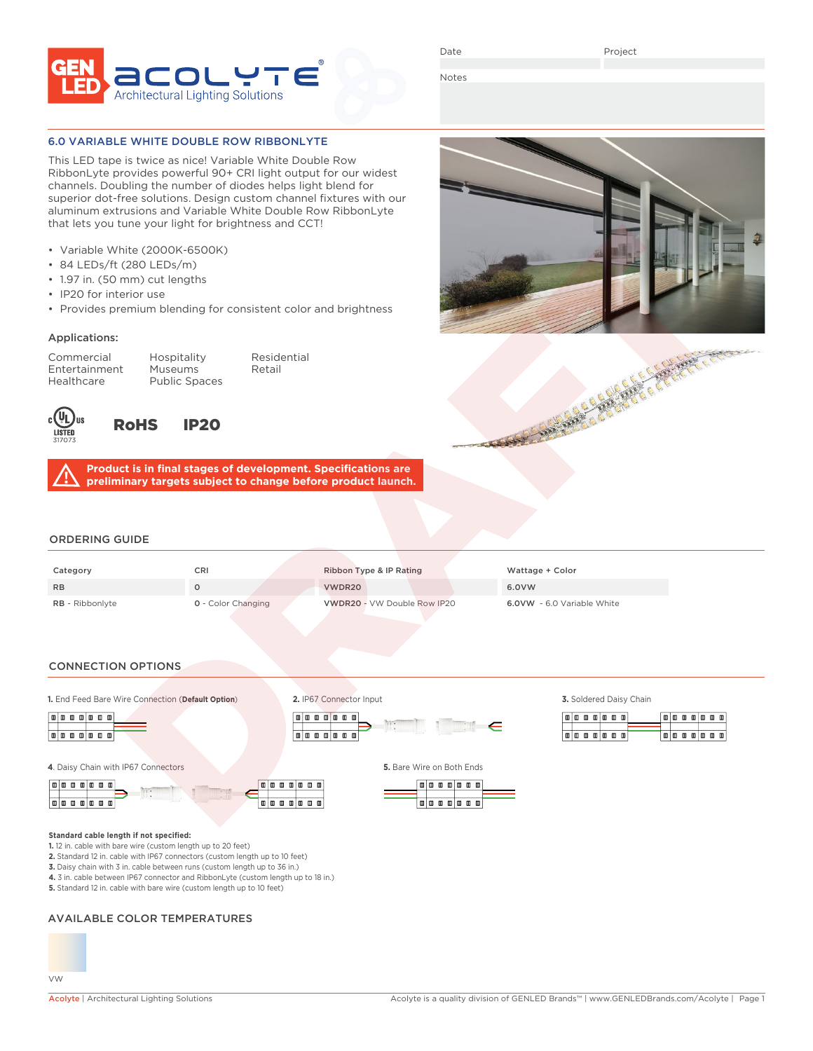

Date

Project

Notes

## 6.0 VARIABLE WHITE DOUBLE ROW RIBBONLYTE

This LED tape is twice as nice! Variable White Double Row RibbonLyte provides powerful 90+ CRI light output for our widest channels. Doubling the number of diodes helps light blend for superior dot-free solutions. Design custom channel fixtures with our aluminum extrusions and Variable White Double Row RibbonLyte that lets you tune your light for brightness and CCT!

- Variable White (2000K-6500K)
- 84 LEDs/ft (280 LEDs/m)
- 1.97 in. (50 mm) cut lengths
- IP20 for interior use
- Provides premium blending for consistent color and brightness

#### Applications:

Entertainment Museums Retail Healthcare Public Spaces

Commercial Hospitality Residential



RoHS IP20

**Product is in final stages of development. Specifications are preliminary targets subject to change before product launch.**

## ORDERING GUIDE

| Category               | CRI                       | Ribbon Type & IP Rating            | Wattage + Color                   |
|------------------------|---------------------------|------------------------------------|-----------------------------------|
| <b>RB</b>              |                           | VWDR20                             | 6.0VW                             |
| <b>RB</b> - Ribbonlyte | <b>0</b> - Color Changing | <b>VWDR20 - VW Double Row IP20</b> | <b>6.0VW</b> - 6.0 Variable White |

#### CONNECTION OPTIONS

**1.** End Feed Bare Wire Connection (**Default Option**) **3.** Soldered Daisy Chain



**Standard cable length if not specified:**





**2.** IP67 Connector Input

 $\boxed{0 \mid 0 \mid 0 \mid 0 \mid 0 \mid 0 \mid}$ 

**Tata a a a a** 



 $\mathbb{I} \in$ 

|  |  |  | امه مامه مامه ا           |  | 面面      |  |  | ا مه ما مه |   |
|--|--|--|---------------------------|--|---------|--|--|------------|---|
|  |  |  |                           |  |         |  |  |            |   |
|  |  |  | 0   0   0   0   0   0   0 |  | ا ۱۵۱ ا |  |  |            | . |

**5.** Standard 12 in. cable with bare wire (custom length up to 10 feet)

## AVAILABLE COLOR TEMPERATURES

**1.** 12 in. cable with bare wire (custom length up to 20 feet)

**2.** Standard 12 in. cable with IP67 connectors (custom length up to 10 feet) **3.** Daisy chain with 3 in. cable between runs (custom length up to 36 in.) **4.** 3 in. cable between IP67 connector and RibbonLyte (custom length up to 18 in.)



**CONTRACTOR** CONTRACTOR CONTRACTOR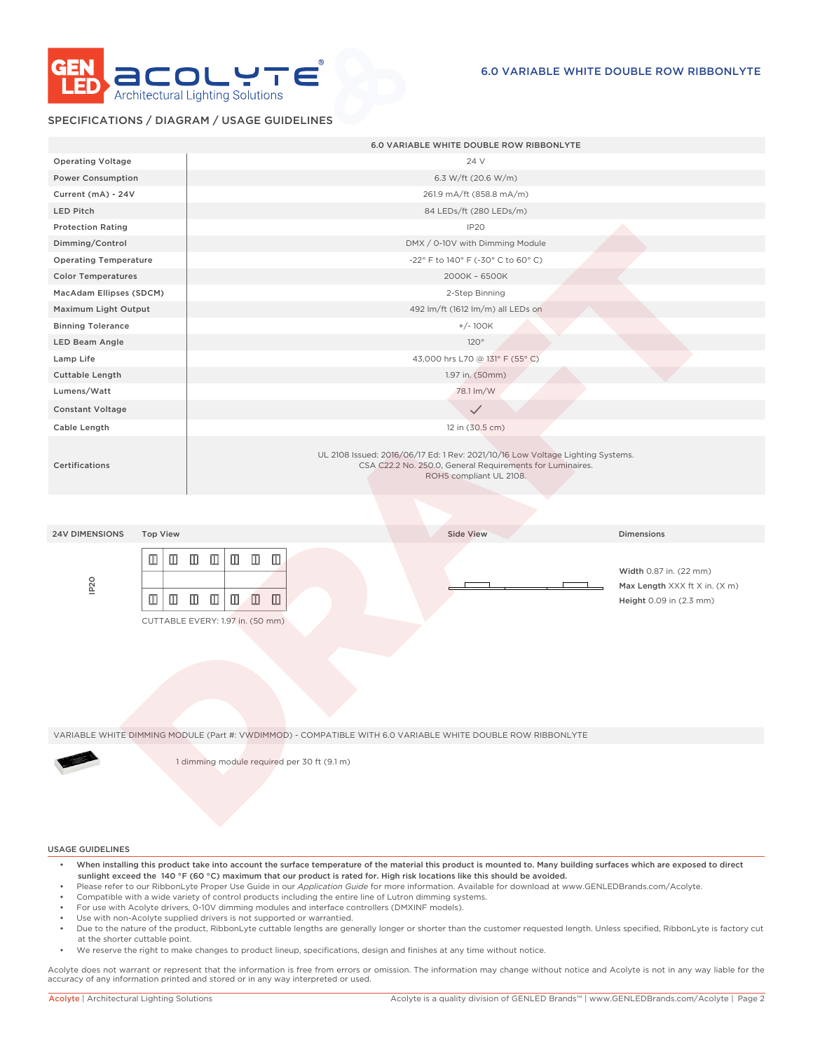

## SPECIFICATIONS / DIAGRAM / USAGE GUIDELINES

|                                                             | 6.0 VARIABLE WHITE DOUBLE ROW RIBBONLYTE                                                                                                                                                                         |
|-------------------------------------------------------------|------------------------------------------------------------------------------------------------------------------------------------------------------------------------------------------------------------------|
| <b>Operating Voltage</b>                                    | 24 V                                                                                                                                                                                                             |
| <b>Power Consumption</b>                                    | 6.3 W/ft (20.6 W/m)                                                                                                                                                                                              |
| Current (mA) - 24V                                          | 261.9 mA/ft (858.8 mA/m)                                                                                                                                                                                         |
| <b>LED Pitch</b>                                            | 84 LEDs/ft (280 LEDs/m)                                                                                                                                                                                          |
| <b>Protection Rating</b>                                    | IP20                                                                                                                                                                                                             |
| Dimming/Control                                             | DMX / 0-10V with Dimming Module                                                                                                                                                                                  |
| <b>Operating Temperature</b>                                | -22° F to 140° F (-30° C to 60° C)                                                                                                                                                                               |
| <b>Color Temperatures</b>                                   | 2000K - 6500K                                                                                                                                                                                                    |
| MacAdam Ellipses (SDCM)                                     | 2-Step Binning                                                                                                                                                                                                   |
| Maximum Light Output                                        | 492 lm/ft (1612 lm/m) all LEDs on                                                                                                                                                                                |
| <b>Binning Tolerance</b>                                    | $+/- 100K$                                                                                                                                                                                                       |
| <b>LED Beam Angle</b>                                       | 120°                                                                                                                                                                                                             |
| Lamp Life                                                   | 43,000 hrs L70 @ 131° F (55° C)                                                                                                                                                                                  |
| Cuttable Length                                             | 1.97 in. (50mm)                                                                                                                                                                                                  |
| Lumens/Watt                                                 | 78.1 lm/W                                                                                                                                                                                                        |
| <b>Constant Voltage</b>                                     | $\checkmark$                                                                                                                                                                                                     |
| Cable Length                                                | 12 in (30.5 cm)                                                                                                                                                                                                  |
| Certifications                                              | UL 2108 Issued: 2016/06/17 Ed: 1 Rev: 2021/10/16 Low Voltage Lighting Systems.<br>CSA C22.2 No. 250.0, General Requirements for Luminaires.<br>ROHS compliant UL 2108.                                           |
|                                                             |                                                                                                                                                                                                                  |
| <b>24V DIMENSIONS</b><br><b>Top View</b>                    | <b>Side View</b><br><b>Dimensions</b>                                                                                                                                                                            |
| $\blacksquare$<br>▥<br>IP <sub>20</sub><br>$\Box$<br>$\Box$ | $\Box$<br>$\mathbf{m}$<br>$\Box$ $\Box$<br>$\Box$<br>Width 0.87 in. (22 mm)<br>Max Length XXX ft X in. (X m)<br>$\Box$<br>$\Box$<br>Ш<br>ID.<br>◫<br>Height 0.09 in (2.3 mm)<br>CUTTABLE EVERY: 1.97 in. (50 mm) |
|                                                             | VARIABLE WHITE DIMMING MODULE (Part #: VWDIMMOD) - COMPATIBLE WITH 6.0 VARIABLE WHITE DOUBLE ROW RIBBONLYTE<br>1 dimming module required per 30 ft (9.1 m)                                                       |

#### USAGE GUIDELINES

- When installing this product take into account the surface temperature of the material this product is mounted to. Many building surfaces which are exposed to direct sunlight exceed the 140 °F (60 °C) maximum that our product is rated for. High risk locations like this should be avoided.
- Please refer to our RibbonLyte Proper Use Guide in our *Application Guide* for more information. Available for download at www.GENLEDBrands.com/Acolyte.
- Compatible with a wide variety of control products including the entire line of Lutron dimming systems.
- For use with Acolyte drivers, 0-10V dimming modules and interface controllers (DMXINF models).
- Use with non-Acolyte supplied drivers is not supported or warrantied.
- Due to the nature of the product, RibbonLyte cuttable lengths are generally longer or shorter than the customer requested length. Unless specified, RibbonLyte is factory cut at the shorter cuttable point.
- We reserve the right to make changes to product lineup, specifications, design and finishes at any time without notice.

Acolyte does not warrant or represent that the information is free from errors or omission. The information may change without notice and Acolyte is not in any way liable for the accuracy of any information printed and stored or in any way interpreted or used.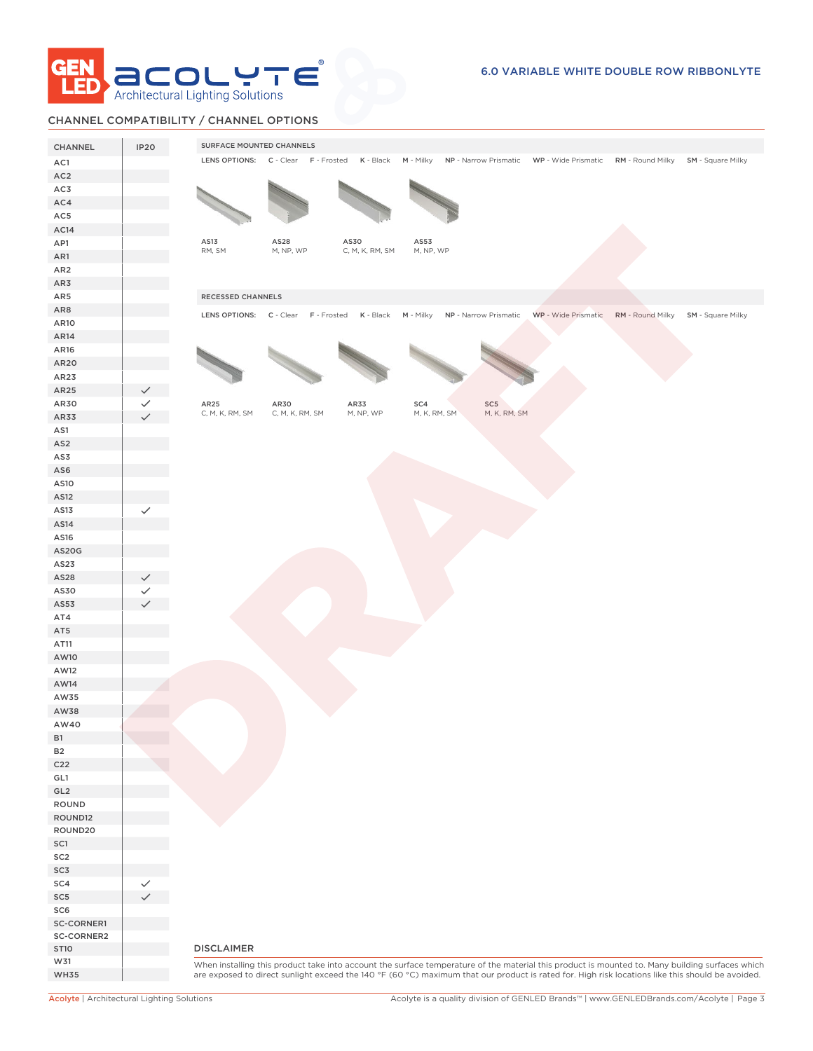

## CHANNEL COMPATIBILITY / CHANNEL OPTIONS

| LENS OPTIONS: C - Clear F - Frosted K - Black M - Milky NP - Narrow Prismatic WP - Wide Prismatic RM - Round Milky SM - Square Milky<br>AC1<br>AC <sub>2</sub><br>AC3<br>AC14<br>AS13<br>AS28<br>AS30<br>AS53<br>RM, SM<br>M, NP, WP<br>C, M, K, RM, SM<br>M, NP, WP<br>RECESSED CHANNELS<br>LENS OPTIONS: C - Clear F - Frosted K - Black M - Milky NP - Narrow Prismatic WP - Wide Prismatic RM - Round Milky SM - Square Milky<br>AR25<br>AR25<br>AR30<br>AR33<br>SC4<br>SC5<br>M, K, RM, SM<br>M, K, RM, SM<br>C, M, K, RM, SM<br>C, M, K, RM, SM<br>M, NP, WP<br>AR33<br>AS1<br>AS <sub>2</sub><br>AS3<br>AS6<br>AS10<br>AS12<br>AS13<br>$\checkmark$<br>AS14<br>AS16<br>AS20G<br>AS23<br>AS28<br>AS30<br>AS53<br>AT4<br>AT5<br>AT11<br>AW10<br>AW12<br>AW14<br>AW35<br>AW38<br>AW40<br><b>B1</b><br><b>B2</b><br>C <sub>22</sub><br>GL1<br>GL <sub>2</sub><br>ROUND<br>ROUND12<br>ROUND20<br>SC1<br>SC <sub>2</sub><br>SC3<br>SC4<br>SC <sub>5</sub><br>SC6<br>SC-CORNER1<br>SC-CORNER2<br><b>DISCLAIMER</b><br><b>ST10</b><br>W31<br>When installing this product take into account the surface temperature of the material this product is mounted to. Many building surfaces which | CHANNEL         | <b>IP20</b> | SURFACE MOUNTED CHANNELS                                                                                                                         |
|---------------------------------------------------------------------------------------------------------------------------------------------------------------------------------------------------------------------------------------------------------------------------------------------------------------------------------------------------------------------------------------------------------------------------------------------------------------------------------------------------------------------------------------------------------------------------------------------------------------------------------------------------------------------------------------------------------------------------------------------------------------------------------------------------------------------------------------------------------------------------------------------------------------------------------------------------------------------------------------------------------------------------------------------------------------------------------------------------------------------------------------------------------------------------------------------|-----------------|-------------|--------------------------------------------------------------------------------------------------------------------------------------------------|
|                                                                                                                                                                                                                                                                                                                                                                                                                                                                                                                                                                                                                                                                                                                                                                                                                                                                                                                                                                                                                                                                                                                                                                                             |                 |             |                                                                                                                                                  |
|                                                                                                                                                                                                                                                                                                                                                                                                                                                                                                                                                                                                                                                                                                                                                                                                                                                                                                                                                                                                                                                                                                                                                                                             |                 |             |                                                                                                                                                  |
|                                                                                                                                                                                                                                                                                                                                                                                                                                                                                                                                                                                                                                                                                                                                                                                                                                                                                                                                                                                                                                                                                                                                                                                             |                 |             |                                                                                                                                                  |
|                                                                                                                                                                                                                                                                                                                                                                                                                                                                                                                                                                                                                                                                                                                                                                                                                                                                                                                                                                                                                                                                                                                                                                                             | AC4             |             |                                                                                                                                                  |
|                                                                                                                                                                                                                                                                                                                                                                                                                                                                                                                                                                                                                                                                                                                                                                                                                                                                                                                                                                                                                                                                                                                                                                                             | AC5             |             |                                                                                                                                                  |
|                                                                                                                                                                                                                                                                                                                                                                                                                                                                                                                                                                                                                                                                                                                                                                                                                                                                                                                                                                                                                                                                                                                                                                                             |                 |             |                                                                                                                                                  |
|                                                                                                                                                                                                                                                                                                                                                                                                                                                                                                                                                                                                                                                                                                                                                                                                                                                                                                                                                                                                                                                                                                                                                                                             | AP1             |             |                                                                                                                                                  |
|                                                                                                                                                                                                                                                                                                                                                                                                                                                                                                                                                                                                                                                                                                                                                                                                                                                                                                                                                                                                                                                                                                                                                                                             | AR1             |             |                                                                                                                                                  |
|                                                                                                                                                                                                                                                                                                                                                                                                                                                                                                                                                                                                                                                                                                                                                                                                                                                                                                                                                                                                                                                                                                                                                                                             | AR <sub>2</sub> |             |                                                                                                                                                  |
|                                                                                                                                                                                                                                                                                                                                                                                                                                                                                                                                                                                                                                                                                                                                                                                                                                                                                                                                                                                                                                                                                                                                                                                             | AR3             |             |                                                                                                                                                  |
|                                                                                                                                                                                                                                                                                                                                                                                                                                                                                                                                                                                                                                                                                                                                                                                                                                                                                                                                                                                                                                                                                                                                                                                             | AR5             |             |                                                                                                                                                  |
|                                                                                                                                                                                                                                                                                                                                                                                                                                                                                                                                                                                                                                                                                                                                                                                                                                                                                                                                                                                                                                                                                                                                                                                             | AR8             |             |                                                                                                                                                  |
|                                                                                                                                                                                                                                                                                                                                                                                                                                                                                                                                                                                                                                                                                                                                                                                                                                                                                                                                                                                                                                                                                                                                                                                             | AR10            |             |                                                                                                                                                  |
|                                                                                                                                                                                                                                                                                                                                                                                                                                                                                                                                                                                                                                                                                                                                                                                                                                                                                                                                                                                                                                                                                                                                                                                             | AR14            |             |                                                                                                                                                  |
|                                                                                                                                                                                                                                                                                                                                                                                                                                                                                                                                                                                                                                                                                                                                                                                                                                                                                                                                                                                                                                                                                                                                                                                             | AR16            |             |                                                                                                                                                  |
|                                                                                                                                                                                                                                                                                                                                                                                                                                                                                                                                                                                                                                                                                                                                                                                                                                                                                                                                                                                                                                                                                                                                                                                             | AR20            |             |                                                                                                                                                  |
|                                                                                                                                                                                                                                                                                                                                                                                                                                                                                                                                                                                                                                                                                                                                                                                                                                                                                                                                                                                                                                                                                                                                                                                             | AR23            |             |                                                                                                                                                  |
|                                                                                                                                                                                                                                                                                                                                                                                                                                                                                                                                                                                                                                                                                                                                                                                                                                                                                                                                                                                                                                                                                                                                                                                             |                 |             |                                                                                                                                                  |
|                                                                                                                                                                                                                                                                                                                                                                                                                                                                                                                                                                                                                                                                                                                                                                                                                                                                                                                                                                                                                                                                                                                                                                                             | AR30            |             |                                                                                                                                                  |
|                                                                                                                                                                                                                                                                                                                                                                                                                                                                                                                                                                                                                                                                                                                                                                                                                                                                                                                                                                                                                                                                                                                                                                                             |                 |             |                                                                                                                                                  |
|                                                                                                                                                                                                                                                                                                                                                                                                                                                                                                                                                                                                                                                                                                                                                                                                                                                                                                                                                                                                                                                                                                                                                                                             |                 |             |                                                                                                                                                  |
|                                                                                                                                                                                                                                                                                                                                                                                                                                                                                                                                                                                                                                                                                                                                                                                                                                                                                                                                                                                                                                                                                                                                                                                             |                 |             |                                                                                                                                                  |
|                                                                                                                                                                                                                                                                                                                                                                                                                                                                                                                                                                                                                                                                                                                                                                                                                                                                                                                                                                                                                                                                                                                                                                                             |                 |             |                                                                                                                                                  |
|                                                                                                                                                                                                                                                                                                                                                                                                                                                                                                                                                                                                                                                                                                                                                                                                                                                                                                                                                                                                                                                                                                                                                                                             |                 |             |                                                                                                                                                  |
|                                                                                                                                                                                                                                                                                                                                                                                                                                                                                                                                                                                                                                                                                                                                                                                                                                                                                                                                                                                                                                                                                                                                                                                             |                 |             |                                                                                                                                                  |
|                                                                                                                                                                                                                                                                                                                                                                                                                                                                                                                                                                                                                                                                                                                                                                                                                                                                                                                                                                                                                                                                                                                                                                                             |                 |             |                                                                                                                                                  |
|                                                                                                                                                                                                                                                                                                                                                                                                                                                                                                                                                                                                                                                                                                                                                                                                                                                                                                                                                                                                                                                                                                                                                                                             |                 |             |                                                                                                                                                  |
|                                                                                                                                                                                                                                                                                                                                                                                                                                                                                                                                                                                                                                                                                                                                                                                                                                                                                                                                                                                                                                                                                                                                                                                             |                 |             |                                                                                                                                                  |
|                                                                                                                                                                                                                                                                                                                                                                                                                                                                                                                                                                                                                                                                                                                                                                                                                                                                                                                                                                                                                                                                                                                                                                                             |                 |             |                                                                                                                                                  |
|                                                                                                                                                                                                                                                                                                                                                                                                                                                                                                                                                                                                                                                                                                                                                                                                                                                                                                                                                                                                                                                                                                                                                                                             |                 |             |                                                                                                                                                  |
|                                                                                                                                                                                                                                                                                                                                                                                                                                                                                                                                                                                                                                                                                                                                                                                                                                                                                                                                                                                                                                                                                                                                                                                             |                 |             |                                                                                                                                                  |
|                                                                                                                                                                                                                                                                                                                                                                                                                                                                                                                                                                                                                                                                                                                                                                                                                                                                                                                                                                                                                                                                                                                                                                                             |                 |             |                                                                                                                                                  |
|                                                                                                                                                                                                                                                                                                                                                                                                                                                                                                                                                                                                                                                                                                                                                                                                                                                                                                                                                                                                                                                                                                                                                                                             |                 |             |                                                                                                                                                  |
|                                                                                                                                                                                                                                                                                                                                                                                                                                                                                                                                                                                                                                                                                                                                                                                                                                                                                                                                                                                                                                                                                                                                                                                             |                 |             |                                                                                                                                                  |
|                                                                                                                                                                                                                                                                                                                                                                                                                                                                                                                                                                                                                                                                                                                                                                                                                                                                                                                                                                                                                                                                                                                                                                                             |                 |             |                                                                                                                                                  |
|                                                                                                                                                                                                                                                                                                                                                                                                                                                                                                                                                                                                                                                                                                                                                                                                                                                                                                                                                                                                                                                                                                                                                                                             |                 |             |                                                                                                                                                  |
|                                                                                                                                                                                                                                                                                                                                                                                                                                                                                                                                                                                                                                                                                                                                                                                                                                                                                                                                                                                                                                                                                                                                                                                             |                 |             |                                                                                                                                                  |
|                                                                                                                                                                                                                                                                                                                                                                                                                                                                                                                                                                                                                                                                                                                                                                                                                                                                                                                                                                                                                                                                                                                                                                                             |                 |             |                                                                                                                                                  |
|                                                                                                                                                                                                                                                                                                                                                                                                                                                                                                                                                                                                                                                                                                                                                                                                                                                                                                                                                                                                                                                                                                                                                                                             |                 |             |                                                                                                                                                  |
|                                                                                                                                                                                                                                                                                                                                                                                                                                                                                                                                                                                                                                                                                                                                                                                                                                                                                                                                                                                                                                                                                                                                                                                             |                 |             |                                                                                                                                                  |
|                                                                                                                                                                                                                                                                                                                                                                                                                                                                                                                                                                                                                                                                                                                                                                                                                                                                                                                                                                                                                                                                                                                                                                                             |                 |             |                                                                                                                                                  |
|                                                                                                                                                                                                                                                                                                                                                                                                                                                                                                                                                                                                                                                                                                                                                                                                                                                                                                                                                                                                                                                                                                                                                                                             |                 |             |                                                                                                                                                  |
|                                                                                                                                                                                                                                                                                                                                                                                                                                                                                                                                                                                                                                                                                                                                                                                                                                                                                                                                                                                                                                                                                                                                                                                             |                 |             |                                                                                                                                                  |
|                                                                                                                                                                                                                                                                                                                                                                                                                                                                                                                                                                                                                                                                                                                                                                                                                                                                                                                                                                                                                                                                                                                                                                                             |                 |             |                                                                                                                                                  |
|                                                                                                                                                                                                                                                                                                                                                                                                                                                                                                                                                                                                                                                                                                                                                                                                                                                                                                                                                                                                                                                                                                                                                                                             |                 |             |                                                                                                                                                  |
|                                                                                                                                                                                                                                                                                                                                                                                                                                                                                                                                                                                                                                                                                                                                                                                                                                                                                                                                                                                                                                                                                                                                                                                             |                 |             |                                                                                                                                                  |
|                                                                                                                                                                                                                                                                                                                                                                                                                                                                                                                                                                                                                                                                                                                                                                                                                                                                                                                                                                                                                                                                                                                                                                                             |                 |             |                                                                                                                                                  |
|                                                                                                                                                                                                                                                                                                                                                                                                                                                                                                                                                                                                                                                                                                                                                                                                                                                                                                                                                                                                                                                                                                                                                                                             |                 |             |                                                                                                                                                  |
|                                                                                                                                                                                                                                                                                                                                                                                                                                                                                                                                                                                                                                                                                                                                                                                                                                                                                                                                                                                                                                                                                                                                                                                             |                 |             |                                                                                                                                                  |
|                                                                                                                                                                                                                                                                                                                                                                                                                                                                                                                                                                                                                                                                                                                                                                                                                                                                                                                                                                                                                                                                                                                                                                                             |                 |             |                                                                                                                                                  |
|                                                                                                                                                                                                                                                                                                                                                                                                                                                                                                                                                                                                                                                                                                                                                                                                                                                                                                                                                                                                                                                                                                                                                                                             |                 |             |                                                                                                                                                  |
|                                                                                                                                                                                                                                                                                                                                                                                                                                                                                                                                                                                                                                                                                                                                                                                                                                                                                                                                                                                                                                                                                                                                                                                             |                 |             |                                                                                                                                                  |
|                                                                                                                                                                                                                                                                                                                                                                                                                                                                                                                                                                                                                                                                                                                                                                                                                                                                                                                                                                                                                                                                                                                                                                                             |                 |             |                                                                                                                                                  |
|                                                                                                                                                                                                                                                                                                                                                                                                                                                                                                                                                                                                                                                                                                                                                                                                                                                                                                                                                                                                                                                                                                                                                                                             |                 |             |                                                                                                                                                  |
|                                                                                                                                                                                                                                                                                                                                                                                                                                                                                                                                                                                                                                                                                                                                                                                                                                                                                                                                                                                                                                                                                                                                                                                             |                 |             |                                                                                                                                                  |
|                                                                                                                                                                                                                                                                                                                                                                                                                                                                                                                                                                                                                                                                                                                                                                                                                                                                                                                                                                                                                                                                                                                                                                                             |                 |             |                                                                                                                                                  |
|                                                                                                                                                                                                                                                                                                                                                                                                                                                                                                                                                                                                                                                                                                                                                                                                                                                                                                                                                                                                                                                                                                                                                                                             |                 |             |                                                                                                                                                  |
|                                                                                                                                                                                                                                                                                                                                                                                                                                                                                                                                                                                                                                                                                                                                                                                                                                                                                                                                                                                                                                                                                                                                                                                             |                 |             |                                                                                                                                                  |
|                                                                                                                                                                                                                                                                                                                                                                                                                                                                                                                                                                                                                                                                                                                                                                                                                                                                                                                                                                                                                                                                                                                                                                                             |                 |             |                                                                                                                                                  |
|                                                                                                                                                                                                                                                                                                                                                                                                                                                                                                                                                                                                                                                                                                                                                                                                                                                                                                                                                                                                                                                                                                                                                                                             |                 |             |                                                                                                                                                  |
|                                                                                                                                                                                                                                                                                                                                                                                                                                                                                                                                                                                                                                                                                                                                                                                                                                                                                                                                                                                                                                                                                                                                                                                             | <b>WH35</b>     |             | are exposed to direct sunlight exceed the 140 °F (60 °C) maximum that our product is rated for. High risk locations like this should be avoided. |